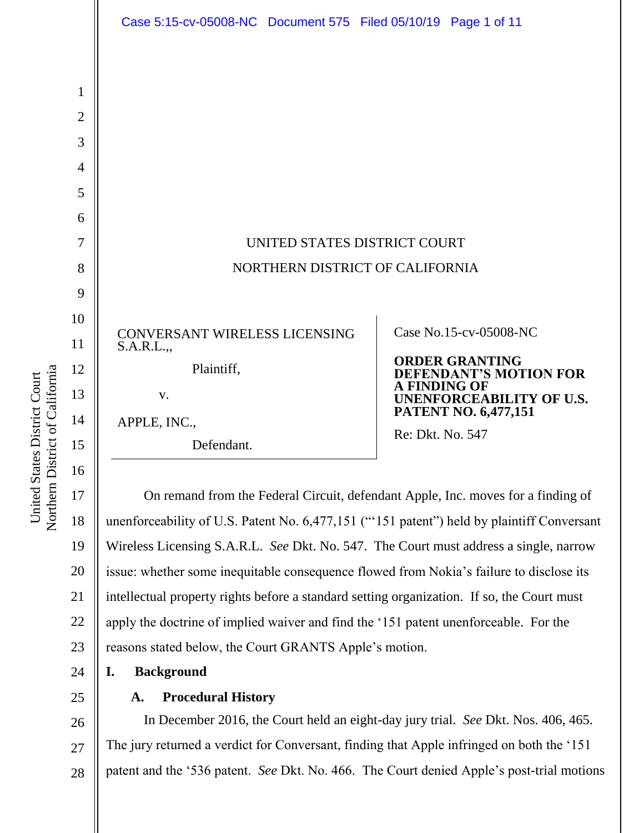

17 18 19 20 21 22 23 On remand from the Federal Circuit, defendant Apple, Inc. moves for a finding of unenforceability of U.S. Patent No. 6,477,151 ("'151 patent") held by plaintiff Conversant Wireless Licensing S.A.R.L. *See* Dkt. No. 547. The Court must address a single, narrow issue: whether some inequitable consequence flowed from Nokia's failure to disclose its intellectual property rights before a standard setting organization. If so, the Court must apply the doctrine of implied waiver and find the '151 patent unenforceable. For the reasons stated below, the Court GRANTS Apple's motion.

- **I. Background**
- 25

24

#### **A. Procedural History**

26 27 28 In December 2016, the Court held an eight-day jury trial. *See* Dkt. Nos. 406, 465. The jury returned a verdict for Conversant, finding that Apple infringed on both the '151 patent and the '536 patent. *See* Dkt. No. 466. The Court denied Apple's post-trial motions

Northern District of California Northern District of California United States District Court United States District Court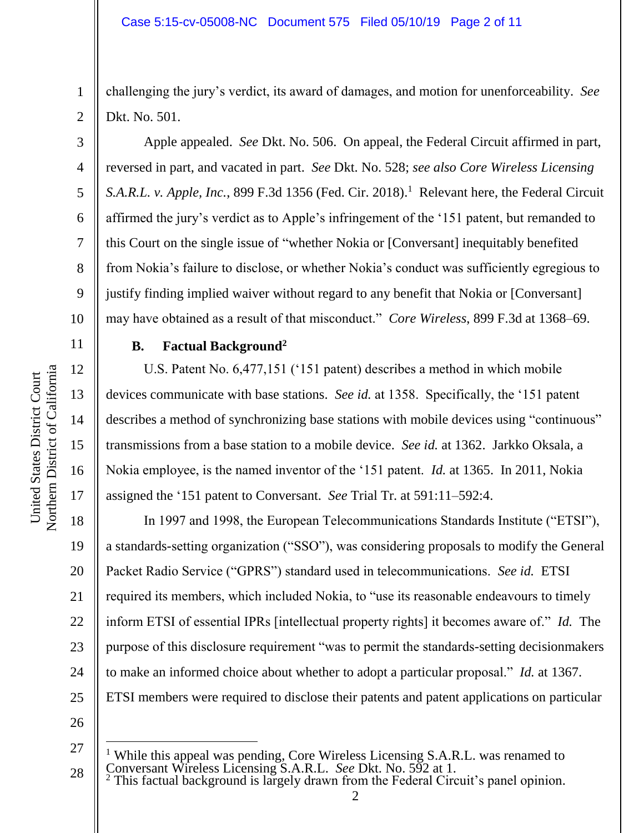challenging the jury's verdict, its award of damages, and motion for unenforceability. *See* Dkt. No. 501.

Apple appealed. *See* Dkt. No. 506. On appeal, the Federal Circuit affirmed in part, reversed in part, and vacated in part. *See* Dkt. No. 528; *see also Core Wireless Licensing*  S.A.R.L. v. Apple, Inc., 899 F.3d 1356 (Fed. Cir. 2018).<sup>1</sup> Relevant here, the Federal Circuit affirmed the jury's verdict as to Apple's infringement of the '151 patent, but remanded to this Court on the single issue of "whether Nokia or [Conversant] inequitably benefited from Nokia's failure to disclose, or whether Nokia's conduct was sufficiently egregious to justify finding implied waiver without regard to any benefit that Nokia or [Conversant] may have obtained as a result of that misconduct." *Core Wireless*, 899 F.3d at 1368–69.

# **B. Factual Background<sup>2</sup>**

U.S. Patent No. 6,477,151 ('151 patent) describes a method in which mobile devices communicate with base stations. *See id.* at 1358. Specifically, the '151 patent describes a method of synchronizing base stations with mobile devices using "continuous" transmissions from a base station to a mobile device. *See id.* at 1362. Jarkko Oksala, a Nokia employee, is the named inventor of the '151 patent. *Id.* at 1365. In 2011, Nokia assigned the '151 patent to Conversant. *See* Trial Tr. at 591:11–592:4.

20 21 22 23 24 25 In 1997 and 1998, the European Telecommunications Standards Institute ("ETSI"), a standards-setting organization ("SSO"), was considering proposals to modify the General Packet Radio Service ("GPRS") standard used in telecommunications. *See id.* ETSI required its members, which included Nokia, to "use its reasonable endeavours to timely inform ETSI of essential IPRs [intellectual property rights] it becomes aware of." *Id.* The purpose of this disclosure requirement "was to permit the standards-setting decisionmakers to make an informed choice about whether to adopt a particular proposal." *Id.* at 1367. ETSI members were required to disclose their patents and patent applications on particular

26

l

 $2$  This factual background is largely drawn from the Federal Circuit's panel opinion.

1

2

3

4

5

6

7

8

9

10

11

12

13

14

15

16

17

18

<sup>27</sup> 28 <sup>1</sup> While this appeal was pending, Core Wireless Licensing S.A.R.L. was renamed to Conversant Wireless Licensing S.A.R.L. *See* Dkt. No. 592 at 1.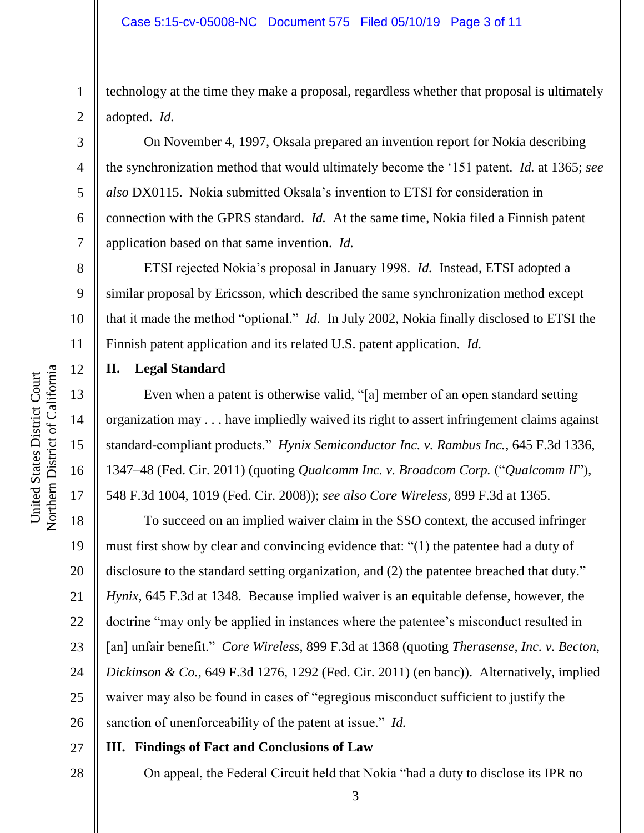technology at the time they make a proposal, regardless whether that proposal is ultimately adopted. *Id.*

On November 4, 1997, Oksala prepared an invention report for Nokia describing the synchronization method that would ultimately become the '151 patent. *Id.* at 1365; *see also* DX0115. Nokia submitted Oksala's invention to ETSI for consideration in connection with the GPRS standard. *Id.* At the same time, Nokia filed a Finnish patent application based on that same invention. *Id.*

ETSI rejected Nokia's proposal in January 1998. *Id.* Instead, ETSI adopted a similar proposal by Ericsson, which described the same synchronization method except that it made the method "optional." *Id.* In July 2002, Nokia finally disclosed to ETSI the Finnish patent application and its related U.S. patent application. *Id.*

**II. Legal Standard**

Even when a patent is otherwise valid, "[a] member of an open standard setting organization may . . . have impliedly waived its right to assert infringement claims against standard-compliant products." *Hynix Semiconductor Inc. v. Rambus Inc.*, 645 F.3d 1336, 1347–48 (Fed. Cir. 2011) (quoting *Qualcomm Inc. v. Broadcom Corp.* ("*Qualcomm II*"), 548 F.3d 1004, 1019 (Fed. Cir. 2008)); *see also Core Wireless*, 899 F.3d at 1365.

18 19 20 21 22 23 24 25 26 To succeed on an implied waiver claim in the SSO context, the accused infringer must first show by clear and convincing evidence that: "(1) the patentee had a duty of disclosure to the standard setting organization, and (2) the patentee breached that duty." *Hynix*, 645 F.3d at 1348. Because implied waiver is an equitable defense, however, the doctrine "may only be applied in instances where the patentee's misconduct resulted in [an] unfair benefit." *Core Wireless*, 899 F.3d at 1368 (quoting *Therasense, Inc. v. Becton, Dickinson & Co.*, 649 F.3d 1276, 1292 (Fed. Cir. 2011) (en banc)). Alternatively, implied waiver may also be found in cases of "egregious misconduct sufficient to justify the sanction of unenforceability of the patent at issue." *Id.*

27 **III. Findings of Fact and Conclusions of Law**

28

Northern District of California Northern District of California United States District Court United States District Court

1

2

3

4

5

6

7

8

9

10

11

12

13

14

15

16

17

On appeal, the Federal Circuit held that Nokia "had a duty to disclose its IPR no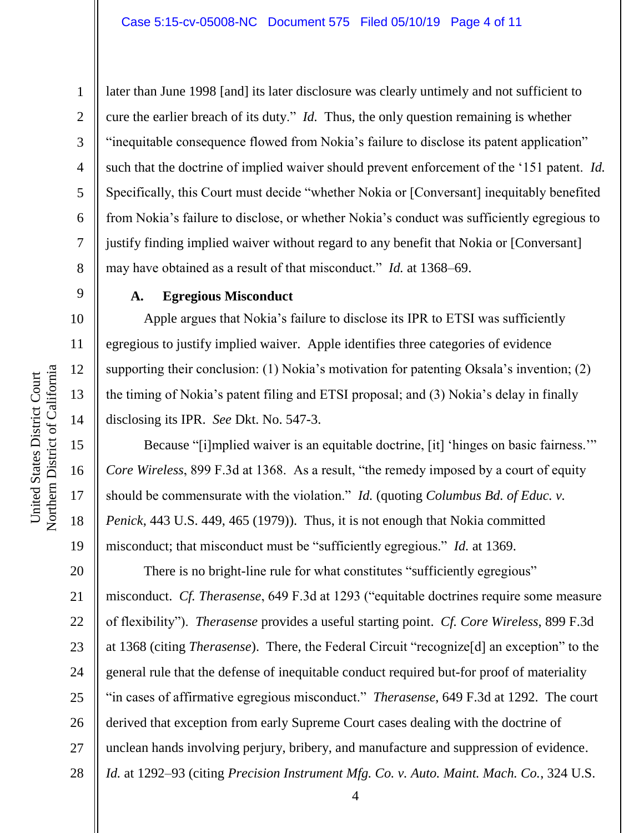1

2

3

4

5

6

7

8

9

16

17

18

19

later than June 1998 [and] its later disclosure was clearly untimely and not sufficient to cure the earlier breach of its duty." *Id.* Thus, the only question remaining is whether "inequitable consequence flowed from Nokia's failure to disclose its patent application" such that the doctrine of implied waiver should prevent enforcement of the '151 patent. *Id.* Specifically, this Court must decide "whether Nokia or [Conversant] inequitably benefited from Nokia's failure to disclose, or whether Nokia's conduct was sufficiently egregious to justify finding implied waiver without regard to any benefit that Nokia or [Conversant] may have obtained as a result of that misconduct." *Id.* at 1368–69.

## **A. Egregious Misconduct**

Apple argues that Nokia's failure to disclose its IPR to ETSI was sufficiently egregious to justify implied waiver. Apple identifies three categories of evidence supporting their conclusion: (1) Nokia's motivation for patenting Oksala's invention; (2) the timing of Nokia's patent filing and ETSI proposal; and (3) Nokia's delay in finally disclosing its IPR. *See* Dkt. No. 547-3.

Because "[i]mplied waiver is an equitable doctrine, [it] 'hinges on basic fairness.'" *Core Wireless*, 899 F.3d at 1368. As a result, "the remedy imposed by a court of equity should be commensurate with the violation." *Id.* (quoting *Columbus Bd. of Educ. v. Penick*, 443 U.S. 449, 465 (1979)). Thus, it is not enough that Nokia committed misconduct; that misconduct must be "sufficiently egregious." *Id.* at 1369.

20 21 22 23 24 25 26 27 28 There is no bright-line rule for what constitutes "sufficiently egregious" misconduct. *Cf. Therasense*, 649 F.3d at 1293 ("equitable doctrines require some measure of flexibility"). *Therasense* provides a useful starting point. *Cf. Core Wireless*, 899 F.3d at 1368 (citing *Therasense*). There, the Federal Circuit "recognize[d] an exception" to the general rule that the defense of inequitable conduct required but-for proof of materiality "in cases of affirmative egregious misconduct." *Therasense*, 649 F.3d at 1292. The court derived that exception from early Supreme Court cases dealing with the doctrine of unclean hands involving perjury, bribery, and manufacture and suppression of evidence. *Id.* at 1292–93 (citing *Precision Instrument Mfg. Co. v. Auto. Maint. Mach. Co.*, 324 U.S.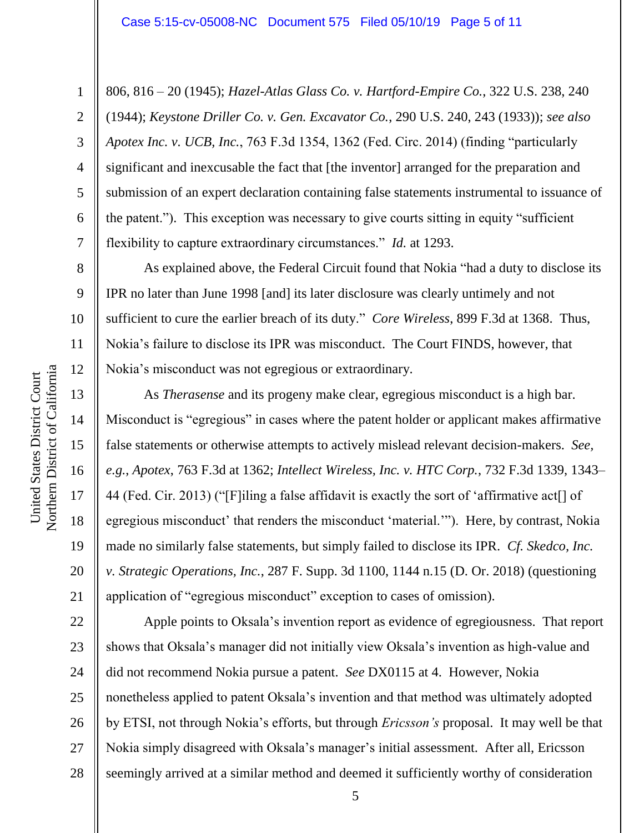806, 816 – 20 (1945); *Hazel-Atlas Glass Co. v. Hartford-Empire Co.*, 322 U.S. 238, 240 (1944); *Keystone Driller Co. v. Gen. Excavator Co.*, 290 U.S. 240, 243 (1933)); *see also Apotex Inc. v. UCB, Inc.*, 763 F.3d 1354, 1362 (Fed. Circ. 2014) (finding "particularly significant and inexcusable the fact that [the inventor] arranged for the preparation and submission of an expert declaration containing false statements instrumental to issuance of the patent."). This exception was necessary to give courts sitting in equity "sufficient flexibility to capture extraordinary circumstances." *Id.* at 1293.

As explained above, the Federal Circuit found that Nokia "had a duty to disclose its IPR no later than June 1998 [and] its later disclosure was clearly untimely and not sufficient to cure the earlier breach of its duty." *Core Wireless*, 899 F.3d at 1368. Thus, Nokia's failure to disclose its IPR was misconduct. The Court FINDS, however, that Nokia's misconduct was not egregious or extraordinary.

As *Therasense* and its progeny make clear, egregious misconduct is a high bar. Misconduct is "egregious" in cases where the patent holder or applicant makes affirmative false statements or otherwise attempts to actively mislead relevant decision-makers. *See, e.g.*, *Apotex*, 763 F.3d at 1362; *Intellect Wireless, Inc. v. HTC Corp.*, 732 F.3d 1339, 1343– 44 (Fed. Cir. 2013) ("[F]iling a false affidavit is exactly the sort of 'affirmative act[] of egregious misconduct' that renders the misconduct 'material.'"). Here, by contrast, Nokia made no similarly false statements, but simply failed to disclose its IPR. *Cf. Skedco, Inc. v. Strategic Operations, Inc.*, 287 F. Supp. 3d 1100, 1144 n.15 (D. Or. 2018) (questioning application of "egregious misconduct" exception to cases of omission).

22 23 24 25 26 27 28 Apple points to Oksala's invention report as evidence of egregiousness. That report shows that Oksala's manager did not initially view Oksala's invention as high-value and did not recommend Nokia pursue a patent. *See* DX0115 at 4. However, Nokia nonetheless applied to patent Oksala's invention and that method was ultimately adopted by ETSI, not through Nokia's efforts, but through *Ericsson's* proposal. It may well be that Nokia simply disagreed with Oksala's manager's initial assessment. After all, Ericsson seemingly arrived at a similar method and deemed it sufficiently worthy of consideration

1

2

3

4

5

6

7

8

9

10

11

12

13

14

15

16

17

18

19

20

21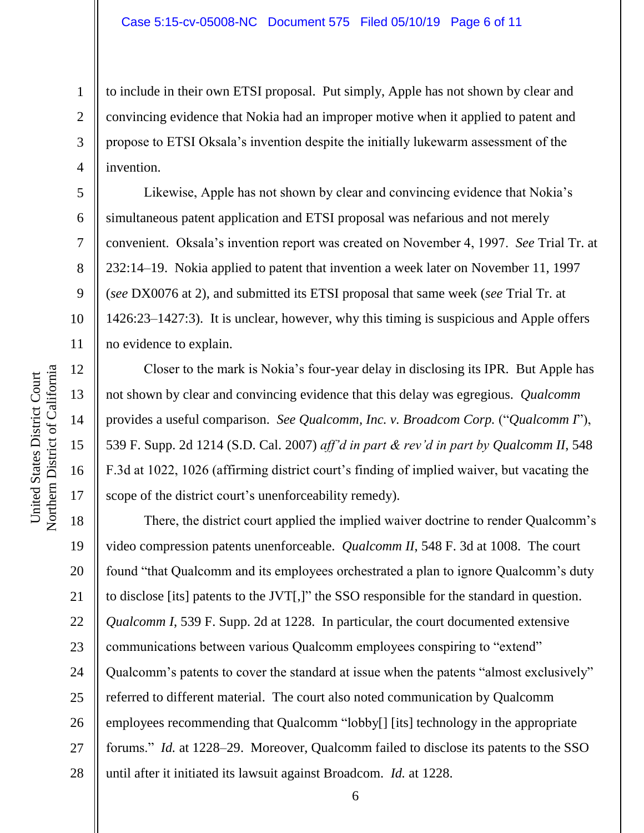to include in their own ETSI proposal. Put simply, Apple has not shown by clear and convincing evidence that Nokia had an improper motive when it applied to patent and propose to ETSI Oksala's invention despite the initially lukewarm assessment of the invention.

Likewise, Apple has not shown by clear and convincing evidence that Nokia's simultaneous patent application and ETSI proposal was nefarious and not merely convenient. Oksala's invention report was created on November 4, 1997. *See* Trial Tr. at 232:14–19. Nokia applied to patent that invention a week later on November 11, 1997 (*see* DX0076 at 2), and submitted its ETSI proposal that same week (*see* Trial Tr. at 1426:23–1427:3). It is unclear, however, why this timing is suspicious and Apple offers no evidence to explain.

Closer to the mark is Nokia's four-year delay in disclosing its IPR. But Apple has not shown by clear and convincing evidence that this delay was egregious. *Qualcomm* provides a useful comparison. *See Qualcomm, Inc. v. Broadcom Corp.* ("*Qualcomm I*"), 539 F. Supp. 2d 1214 (S.D. Cal. 2007) *aff'd in part & rev'd in part by Qualcomm II*, 548 F.3d at 1022, 1026 (affirming district court's finding of implied waiver, but vacating the scope of the district court's unenforceability remedy).

18 19 20 21 22 23 24 25 26 27 28 There, the district court applied the implied waiver doctrine to render Qualcomm's video compression patents unenforceable. *Qualcomm II*, 548 F. 3d at 1008. The court found "that Qualcomm and its employees orchestrated a plan to ignore Qualcomm's duty to disclose [its] patents to the JVT[,]" the SSO responsible for the standard in question. *Qualcomm I*, 539 F. Supp. 2d at 1228. In particular, the court documented extensive communications between various Qualcomm employees conspiring to "extend" Qualcomm's patents to cover the standard at issue when the patents "almost exclusively" referred to different material. The court also noted communication by Qualcomm employees recommending that Qualcomm "lobby[] [its] technology in the appropriate forums." *Id.* at 1228–29. Moreover, Qualcomm failed to disclose its patents to the SSO until after it initiated its lawsuit against Broadcom. *Id.* at 1228.

1

2

3

4

5

6

7

8

9

10

11

12

13

14

15

16

17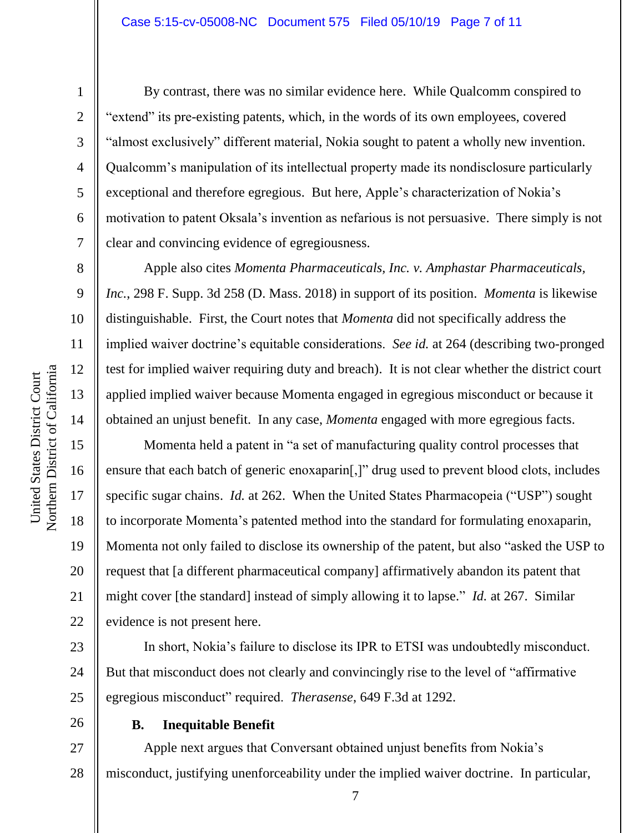1

2

3

4

5

6

7

8

9

10

11

12

13

14

15

16

17

18

19

20

21

22

23

24

25

By contrast, there was no similar evidence here. While Qualcomm conspired to "extend" its pre-existing patents, which, in the words of its own employees, covered "almost exclusively" different material, Nokia sought to patent a wholly new invention. Qualcomm's manipulation of its intellectual property made its nondisclosure particularly exceptional and therefore egregious. But here, Apple's characterization of Nokia's motivation to patent Oksala's invention as nefarious is not persuasive. There simply is not clear and convincing evidence of egregiousness.

Apple also cites *Momenta Pharmaceuticals, Inc. v. Amphastar Pharmaceuticals, Inc.*, 298 F. Supp. 3d 258 (D. Mass. 2018) in support of its position. *Momenta* is likewise distinguishable. First, the Court notes that *Momenta* did not specifically address the implied waiver doctrine's equitable considerations. *See id.* at 264 (describing two-pronged test for implied waiver requiring duty and breach). It is not clear whether the district court applied implied waiver because Momenta engaged in egregious misconduct or because it obtained an unjust benefit. In any case, *Momenta* engaged with more egregious facts.

Momenta held a patent in "a set of manufacturing quality control processes that ensure that each batch of generic enoxaparin[,]" drug used to prevent blood clots, includes specific sugar chains. *Id.* at 262. When the United States Pharmacopeia ("USP") sought to incorporate Momenta's patented method into the standard for formulating enoxaparin, Momenta not only failed to disclose its ownership of the patent, but also "asked the USP to request that [a different pharmaceutical company] affirmatively abandon its patent that might cover [the standard] instead of simply allowing it to lapse." *Id.* at 267. Similar evidence is not present here.

In short, Nokia's failure to disclose its IPR to ETSI was undoubtedly misconduct. But that misconduct does not clearly and convincingly rise to the level of "affirmative egregious misconduct" required. *Therasense*, 649 F.3d at 1292.

26

#### **B. Inequitable Benefit**

27 28 Apple next argues that Conversant obtained unjust benefits from Nokia's misconduct, justifying unenforceability under the implied waiver doctrine. In particular,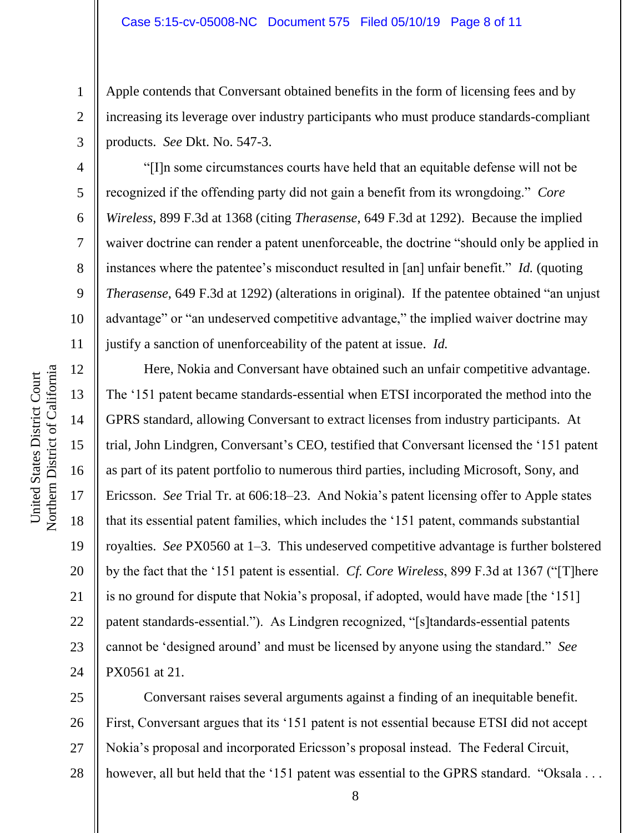Apple contends that Conversant obtained benefits in the form of licensing fees and by increasing its leverage over industry participants who must produce standards-compliant products. *See* Dkt. No. 547-3.

"[I]n some circumstances courts have held that an equitable defense will not be recognized if the offending party did not gain a benefit from its wrongdoing." *Core Wireless*, 899 F.3d at 1368 (citing *Therasense*, 649 F.3d at 1292). Because the implied waiver doctrine can render a patent unenforceable, the doctrine "should only be applied in instances where the patentee's misconduct resulted in [an] unfair benefit." *Id.* (quoting *Therasense*, 649 F.3d at 1292) (alterations in original). If the patentee obtained "an unjust advantage" or "an undeserved competitive advantage," the implied waiver doctrine may justify a sanction of unenforceability of the patent at issue. *Id.*

Here, Nokia and Conversant have obtained such an unfair competitive advantage. The '151 patent became standards-essential when ETSI incorporated the method into the GPRS standard, allowing Conversant to extract licenses from industry participants. At trial, John Lindgren, Conversant's CEO, testified that Conversant licensed the '151 patent as part of its patent portfolio to numerous third parties, including Microsoft, Sony, and Ericsson. *See* Trial Tr. at 606:18–23. And Nokia's patent licensing offer to Apple states that its essential patent families, which includes the '151 patent, commands substantial royalties. *See* PX0560 at 1–3. This undeserved competitive advantage is further bolstered by the fact that the '151 patent is essential. *Cf. Core Wireless*, 899 F.3d at 1367 ("[T]here is no ground for dispute that Nokia's proposal, if adopted, would have made [the '151] patent standards-essential."). As Lindgren recognized, "[s]tandards-essential patents cannot be 'designed around' and must be licensed by anyone using the standard." *See* PX0561 at 21.

25 26 27 28 Conversant raises several arguments against a finding of an inequitable benefit. First, Conversant argues that its '151 patent is not essential because ETSI did not accept Nokia's proposal and incorporated Ericsson's proposal instead. The Federal Circuit, however, all but held that the '151 patent was essential to the GPRS standard. "Oksala . . .

1

2

3

4

5

6

7

8

9

10

11

12

13

14

15

16

17

18

19

20

21

22

23

24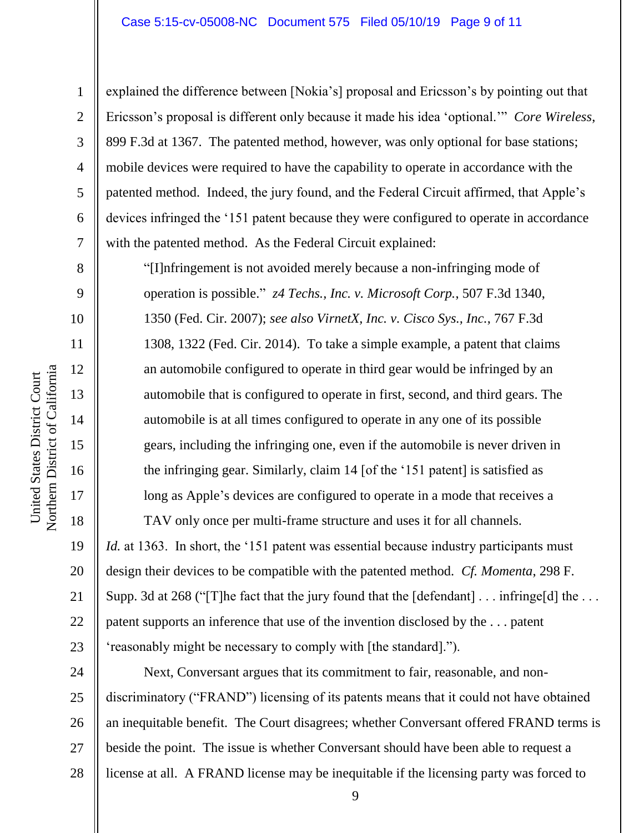explained the difference between [Nokia's] proposal and Ericsson's by pointing out that Ericsson's proposal is different only because it made his idea 'optional.'" *Core Wireless*, 899 F.3d at 1367. The patented method, however, was only optional for base stations; mobile devices were required to have the capability to operate in accordance with the patented method. Indeed, the jury found, and the Federal Circuit affirmed, that Apple's devices infringed the '151 patent because they were configured to operate in accordance with the patented method. As the Federal Circuit explained:

"[I]nfringement is not avoided merely because a non-infringing mode of operation is possible." *z4 Techs., Inc. v. Microsoft Corp.*, 507 F.3d 1340, 1350 (Fed. Cir. 2007); *see also VirnetX, Inc. v. Cisco Sys., Inc.*, 767 F.3d 1308, 1322 (Fed. Cir. 2014). To take a simple example, a patent that claims an automobile configured to operate in third gear would be infringed by an automobile that is configured to operate in first, second, and third gears. The automobile is at all times configured to operate in any one of its possible gears, including the infringing one, even if the automobile is never driven in the infringing gear. Similarly, claim 14 [of the '151 patent] is satisfied as long as Apple's devices are configured to operate in a mode that receives a

*Id.* at 1363. In short, the '151 patent was essential because industry participants must design their devices to be compatible with the patented method. *Cf. Momenta*, 298 F. Supp. 3d at 268 ("T] he fact that the jury found that the  $\lceil \text{defendant} \rceil \dots \text{infringe}[d]$  the  $\dots$ patent supports an inference that use of the invention disclosed by the . . . patent 'reasonably might be necessary to comply with [the standard].").

TAV only once per multi-frame structure and uses it for all channels.

24 25 26 27 28 Next, Conversant argues that its commitment to fair, reasonable, and nondiscriminatory ("FRAND") licensing of its patents means that it could not have obtained an inequitable benefit. The Court disagrees; whether Conversant offered FRAND terms is beside the point. The issue is whether Conversant should have been able to request a license at all. A FRAND license may be inequitable if the licensing party was forced to

1

2

3

4

5

6

7

8

9

10

11

12

13

14

15

16

17

18

19

20

21

22

23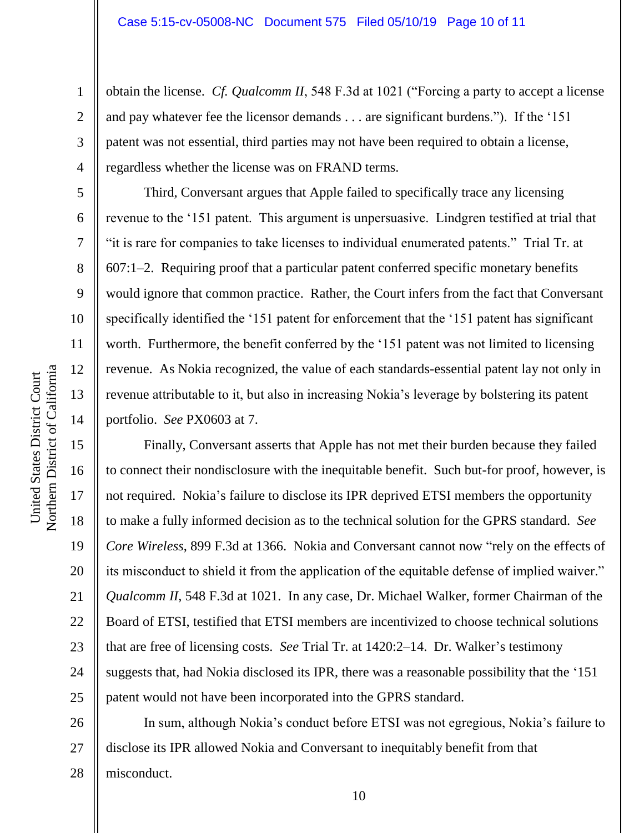obtain the license. *Cf. Qualcomm II*, 548 F.3d at 1021 ("Forcing a party to accept a license and pay whatever fee the licensor demands . . . are significant burdens."). If the '151 patent was not essential, third parties may not have been required to obtain a license, regardless whether the license was on FRAND terms.

Third, Conversant argues that Apple failed to specifically trace any licensing revenue to the '151 patent. This argument is unpersuasive. Lindgren testified at trial that "it is rare for companies to take licenses to individual enumerated patents." Trial Tr. at 607:1–2. Requiring proof that a particular patent conferred specific monetary benefits would ignore that common practice. Rather, the Court infers from the fact that Conversant specifically identified the '151 patent for enforcement that the '151 patent has significant worth. Furthermore, the benefit conferred by the '151 patent was not limited to licensing revenue. As Nokia recognized, the value of each standards-essential patent lay not only in revenue attributable to it, but also in increasing Nokia's leverage by bolstering its patent portfolio. *See* PX0603 at 7.

Finally, Conversant asserts that Apple has not met their burden because they failed to connect their nondisclosure with the inequitable benefit. Such but-for proof, however, is not required. Nokia's failure to disclose its IPR deprived ETSI members the opportunity to make a fully informed decision as to the technical solution for the GPRS standard. *See Core Wireless*, 899 F.3d at 1366. Nokia and Conversant cannot now "rely on the effects of its misconduct to shield it from the application of the equitable defense of implied waiver." *Qualcomm II*, 548 F.3d at 1021. In any case, Dr. Michael Walker, former Chairman of the Board of ETSI, testified that ETSI members are incentivized to choose technical solutions that are free of licensing costs. *See* Trial Tr. at 1420:2–14. Dr. Walker's testimony suggests that, had Nokia disclosed its IPR, there was a reasonable possibility that the '151 patent would not have been incorporated into the GPRS standard.

26 27 28 In sum, although Nokia's conduct before ETSI was not egregious, Nokia's failure to disclose its IPR allowed Nokia and Conversant to inequitably benefit from that misconduct.

1

2

3

4

5

6

7

8

9

10

11

12

13

14

15

16

17

18

19

20

21

22

23

24

25